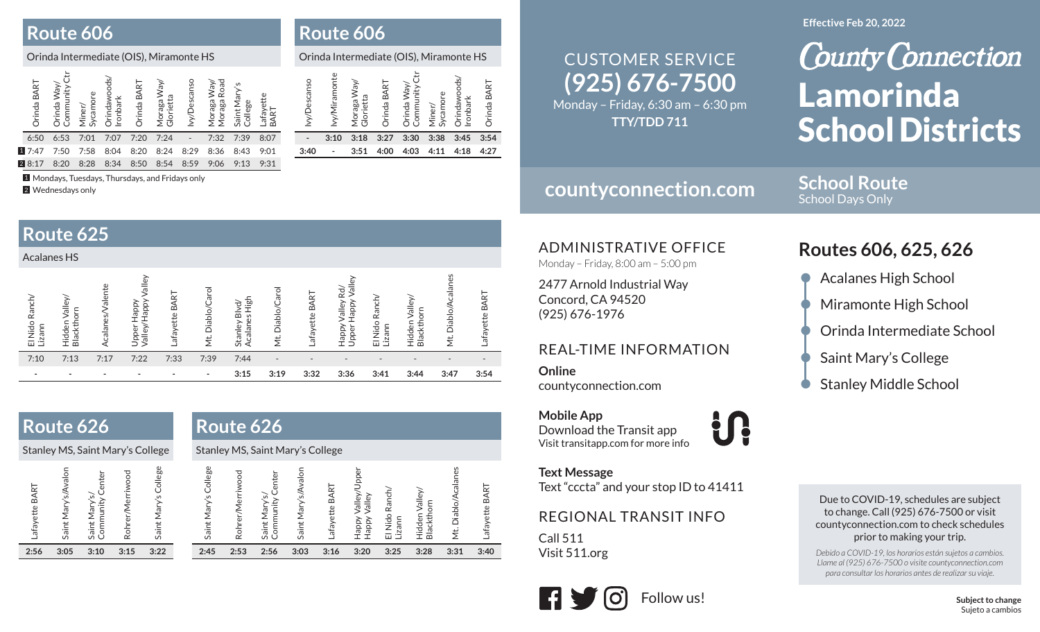### **Route 606**

#### Orinda Intermediate (OIS), Miramonte HS

| Orinda BART | Orinda Way/<br>Community ( | Sycamore<br>Miner/ | Orindawood:<br>Ironbark | Orinda BART | Moraga Way/<br>Glorietta | vy/Descanso | Way/<br>Road<br>Moraga<br>Moraga | Saint Mary's<br>College | Lafayette<br>BART |  |
|-------------|----------------------------|--------------------|-------------------------|-------------|--------------------------|-------------|----------------------------------|-------------------------|-------------------|--|
| 6:50        | 6:53                       | 7:01               | 7:07                    | 7:20        | 7:24                     |             | 7:32                             | 7:39                    | 8:07              |  |
| 17:47       | 7:50                       | 7:58               | 8:04                    | 8:20        | 8:24                     | 8:29        | 8:36                             | 8:43                    | 9:01              |  |
| 28:17       | 8:20                       | 8:28               | 8:34                    | 8:50        | 8:54                     | 8:59        | 9:06                             | 9:13                    | 9:31              |  |

1 Mondays, Tuesdays, Thursdays, and Fridays only

2 Wednesdays only

#### **Route 625** Acalanes HSValley/Happy Valley Mt. Diablo/Acalanes Upper Happy<br>Valley/Happy Valley Upper Happy Valley Happy Valley Rd/<br>Upper Happy Valley Mt. Diablo/Acalane Acalanes/Valente Acalanes/Valente Happy Valley Rd/ Mt. Diablo/Carol Mt. Diablo/Carol Mt. Diablo/Carol Mt. Diablo/Carol Lafayette BART Lafayette BART Lafayette BART Lafayette BART Lafayette BART Lafayette BART Hidden Valley/<br>Blackthorn Stanley Blvd/<br>Acalanes High El Nido Ranch/<br>Lizann Hidden Valley/<br>Blackthorn El Nido Ranch/ El Nido Ranch/ Hidden Valley/ El Nido Ranch/ Hidden Valley/ Acalanes High Upper Happy Stanley Blvd/ Blackthorn Blackthorn Lizann 7:10 7:13 7:17 7:22 7:33 7:39 7:44 - - - - - - -- - - - - - - - 3:15 3:19 3:32 3:36 3:41 3:44 3:47 3:54

| Route 626                                                                                                                                                       | Route 626                                                                                                                                                                                                                                                                                                                          |  |
|-----------------------------------------------------------------------------------------------------------------------------------------------------------------|------------------------------------------------------------------------------------------------------------------------------------------------------------------------------------------------------------------------------------------------------------------------------------------------------------------------------------|--|
| Stanley MS, Saint Mary's College                                                                                                                                | Stanley MS, Saint Mary's College                                                                                                                                                                                                                                                                                                   |  |
| College<br>nolev<br>Rohrer/Merriwood<br>Center<br>Lafayette BART<br>A/s<br>$\widetilde{\varepsilon}$<br>Saint Mary's<br>Saint Mary's<br>Community<br>Saint Mary | College<br>/alley/Upper<br>Mt. Diablo/Acalanes<br>Saint Mary's/Avalon<br>Rohrer/Merriwood<br>Center<br>Lafayette BART<br>ART<br>El Nido Ranch/<br>Hidden Valley/<br>$\widetilde{\varepsilon}$<br>Valley<br>Saint Mary's<br>Community<br>Lafayette B.<br><b>Blackthorn</b><br>Mary<br>Adde <sub>H</sub><br>AddeH<br>Lizann<br>Saint |  |
| 3:22<br>2:56<br>3:10<br>3:15<br>3:05                                                                                                                            | 2:56<br>2:53<br>3:03<br>3:28<br>3:31<br>3:40<br>2:45<br>3:16<br>3:20<br>3:25                                                                                                                                                                                                                                                       |  |

### **Route 606**

|             | Orinda Intermediate (OIS), Miramonte HS |                          |             |                            |                    |                          |                    |
|-------------|-----------------------------------------|--------------------------|-------------|----------------------------|--------------------|--------------------------|--------------------|
| vy/Descanso | vy/Miramonte                            | Moraga Way/<br>Glorietta | Orinda BART | Orinda Way/<br>Community ( | Sycamore<br>Miner/ | Orindawoods/<br>Ironbark | <b>Drinda BART</b> |
|             | 3:10                                    | 3:18                     | 3:27        | 3:30                       | 3:38               | 3:45                     | 3:54               |
| 3:40        |                                         | 3:51                     | 4:00        | 4:03                       | 4:11               | 4:18                     | 4:27               |

# **(925) 676-7500** CUSTOMER SERVICE

Monday – Friday, 6:30 am – 6:30 pm **TTY/TDD 711**

## **countyconnection.com**

**School Route** School Days Only

ADMINISTRATIVE OFFICE

Monday – Friday, 8:00 am – 5:00 pm

2477 Arnold Industrial Way Concord, CA 94520 (925) 676-1976

#### REAL-TIME INFORMATION

**Online**countyconnection.com

**Text Message**

Call 511Visit 511.org

**Mobile App** Download the Transit app Visit transitapp.com for more info

Text "cccta" and your stop ID to 41411

REGIONAL TRANSIT INFO

<u>and</u>

Due to COVID-19, schedules are subject to change. Call (925) 676-7500 or visit countyconnection.com to check schedules prior to making your trip.

*Debido a COVID-19, los horarios están sujetos a cambios. Llame al (925) 676-7500 o visite countyconnection.com para consultar los horarios antes de realizar su viaje.*

KIR Follow us!

### **Routes 606, 625, 626**

- Acalanes High School
- Miramonte High School
- Orinda Intermediate School
- Saint Mary's College
- **Stanley Middle School**

**Subject to change** Sujeto a cambios

#### **Effective Feb 20, 2022**

## **County Connection** Lamorinda School Districts